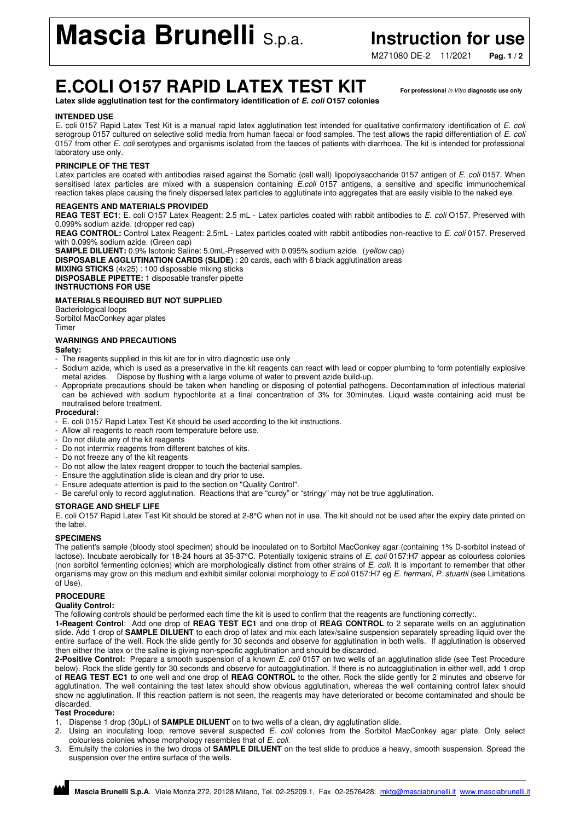**Mascia Brunelli** S.p.a. **Instruction for use** 

M271080 DE-2 11/2021 **Pag. 1 / 2**

# **E.COLI O157 RAPID LATEX TEST KIT For professional** in Vitro **diagnostic use only**

**Latex slide agglutination test for the confirmatory identification of E. coli O157 colonies** 

#### **INTENDED USE**

E. coli 0157 Rapid Latex Test Kit is a manual rapid latex agglutination test intended for qualitative confirmatory identification of E. coli serogroup 0157 cultured on selective solid media from human faecal or food samples. The test allows the rapid differentiation of E. coli 0157 from other E. coli serotypes and organisms isolated from the faeces of patients with diarrhoea. The kit is intended for professional laboratory use only.

# **PRINCIPLE OF THE TEST**

Latex particles are coated with antibodies raised against the Somatic (cell wall) lipopolysaccharide 0157 antigen of E. coli 0157. When sensitised latex particles are mixed with a suspension containing E.coli 0157 antigens, a sensitive and specific immunochemical reaction takes place causing the finely dispersed latex particles to agglutinate into aggregates that are easily visible to the naked eye.

#### **REAGENTS AND MATERIALS PROVIDED**

**REAG TEST EC1**: E. coli O157 Latex Reagent: 2.5 mL - Latex particles coated with rabbit antibodies to E. coli O157. Preserved with 0.099% sodium azide. (dropper red cap)

**REAG CONTROL:** Control Latex Reagent: 2.5mL - Latex particles coated with rabbit antibodies non-reactive to E. coli 0157. Preserved with 0.099% sodium azide. (Green cap)

**SAMPLE DILUENT:** 0.9% Isotonic Saline: 5.0mL-Preserved with 0.095% sodium azide. (yellow cap)

**DISPOSABLE AGGLUTINATION CARDS (SLIDE)** : 20 cards, each with 6 black agglutination areas

#### **MIXING STICKS** (4x25) : 100 disposable mixing sticks **DISPOSABLE PIPETTE:** 1 disposable transfer pipette

**INSTRUCTIONS FOR USE** 

### **MATERIALS REQUIRED BUT NOT SUPPLIED**

Bacteriological loops Sorbitol MacConkey agar plates **Timer** 

# **WARNINGS AND PRECAUTIONS**

#### **Safety:**

- The reagents supplied in this kit are for in vitro diagnostic use only
- Sodium azide, which is used as a preservative in the kit reagents can react with lead or copper plumbing to form potentially explosive metal azides. Dispose by flushing with a large volume of water to prevent azide build-up.
- Appropriate precautions should be taken when handling or disposing of potential pathogens. Decontamination of infectious material can be achieved with sodium hypochlorite at a final concentration of 3% for 30minutes. Liquid waste containing acid must be neutralised before treatment.

#### **Procedural:**

- E. coli 0157 Rapid Latex Test Kit should be used according to the kit instructions.
- Allow all reagents to reach room temperature before use.
- Do not dilute any of the kit reagents
- Do not intermix reagents from different batches of kits.
- Do not freeze any of the kit reagents
- Do not allow the latex reagent dropper to touch the bacterial samples.
- Ensure the agglutination slide is clean and dry prior to use.
- Ensure adequate attention is paid to the section on "Quality Control".
- Be careful only to record agglutination. Reactions that are "curdy" or "stringy" may not be true agglutination.

#### **STORAGE AND SHELF LIFE**

E. coli O157 Rapid Latex Test Kit should be stored at 2-8°C when not in use. The kit should not be used after the expiry date printed on the label.

#### **SPECIMENS**

The patient's sample (bloody stool specimen) should be inoculated on to Sorbitol MacConkey agar (containing 1% D-sorbitol instead of lactose). Incubate aerobically for 18-24 hours at 35-37°C. Potentially toxigenic strains of E. coli 0157:H7 appear as colourless colonies (non sorbitol fermenting colonies) which are morphologically distinct from other strains of E. coli. It is important to remember that other organisms may grow on this medium and exhibit similar colonial morphology to E coli 0157:H7 eg E. hermani, P. stuartii (see Limitations of Use).

# **PROCEDURE**

#### **Quality Control:**

The following controls should be performed each time the kit is used to confirm that the reagents are functioning correctly:.

**1-Reagent Control**: Add one drop of **REAG TEST EC1** and one drop of **REAG CONTROL** to 2 separate wells on an agglutination slide. Add 1 drop of **SAMPLE DILUENT** to each drop of latex and mix each latex/saline suspension separately spreading liquid over the entire surface of the well. Rock the slide gently for 30 seconds and observe for agglutination in both wells. If agglutination is observed then either the latex or the saline is giving non-specific agglutination and should be discarded.

**2-Positive Control:** Prepare a smooth suspension of a known E. coli 0157 on two wells of an agglutination slide (see Test Procedure below). Rock the slide gently for 30 seconds and observe for autoagglutination. If there is no autoagglutination in either well, add 1 drop of **REAG TEST EC1** to one well and one drop of **REAG CONTROL** to the other. Rock the slide gently for 2 minutes and observe for agglutination. The well containing the test latex should show obvious agglutination, whereas the well containing control latex should show no agglutination. If this reaction pattern is not seen, the reagents may have deteriorated or become contaminated and should be discarded.

#### **Test Procedure:**

- 1. Dispense 1 drop (30μL) of **SAMPLE DILUENT** on to two wells of a clean, dry agglutination slide.
- 2. Using an inoculating loop, remove several suspected E. coli colonies from the Sorbitol MacConkey agar plate. Only select colourless colonies whose morphology resembles that of E. coli.
- 3. Emulsify the colonies in the two drops of **SAMPLE DILUENT** on the test slide to produce a heavy, smooth suspension. Spread the suspension over the entire surface of the wells.